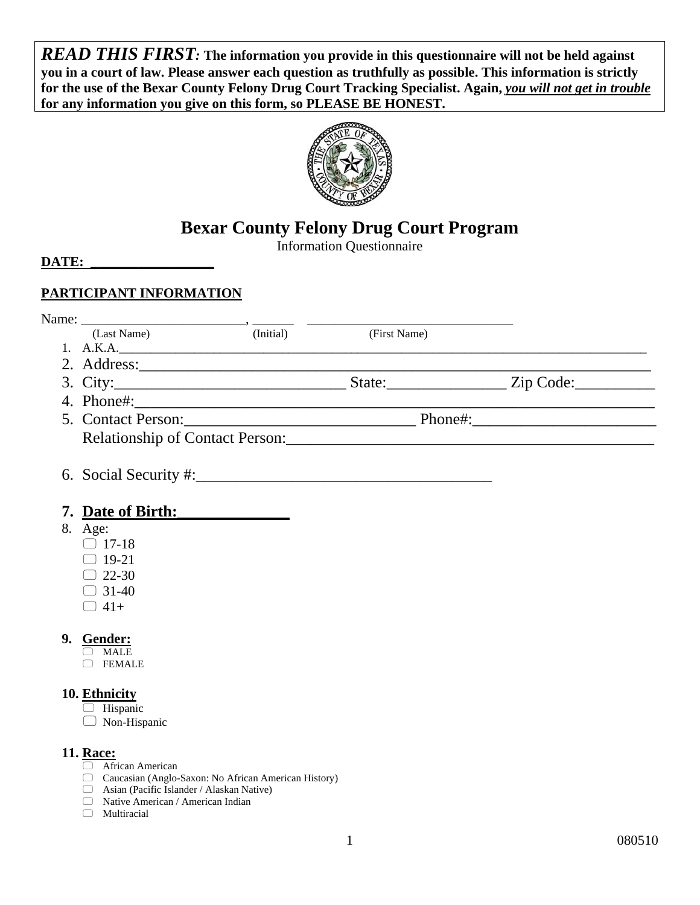*READ THIS FIRST:* **The information you provide in this questionnaire will not be held against you in a court of law. Please answer each question as truthfully as possible. This information is strictly for the use of the Bexar County Felony Drug Court Tracking Specialist. Again,** *you will not get in trouble*  **for any information you give on this form, so PLEASE BE HONEST.** 



## **Bexar County Felony Drug Court Program**

Information Questionnaire

**DATE:** 

## **PARTICIPANT INFORMATION**

| (Last Name)                                                 | (Initial) (First Name) |                                                                                                                                                                                                                                |
|-------------------------------------------------------------|------------------------|--------------------------------------------------------------------------------------------------------------------------------------------------------------------------------------------------------------------------------|
|                                                             | 1. A.K.A.              |                                                                                                                                                                                                                                |
|                                                             |                        |                                                                                                                                                                                                                                |
|                                                             |                        |                                                                                                                                                                                                                                |
|                                                             |                        |                                                                                                                                                                                                                                |
|                                                             |                        |                                                                                                                                                                                                                                |
|                                                             |                        | Relationship of Contact Person: 2008 and 2008 and 2008 and 2008 and 2008 and 2008 and 2008 and 2008 and 2008 and 2008 and 2008 and 2008 and 2008 and 2008 and 2008 and 2008 and 2008 and 2008 and 2008 and 2008 and 2008 and 2 |
|                                                             |                        |                                                                                                                                                                                                                                |
| 7. Date of Birth:                                           |                        |                                                                                                                                                                                                                                |
| 8. Age:                                                     |                        |                                                                                                                                                                                                                                |
| $\Box$ 17-18                                                |                        |                                                                                                                                                                                                                                |
| $\Box$ 19-21                                                |                        |                                                                                                                                                                                                                                |
| $\Box$ 22-30                                                |                        |                                                                                                                                                                                                                                |
| $\Box$ 31-40                                                |                        |                                                                                                                                                                                                                                |
| $\Box$ 41+                                                  |                        |                                                                                                                                                                                                                                |
| 9. Gender:                                                  |                        |                                                                                                                                                                                                                                |
| $\Box$ MALE<br><b>FEMALE</b>                                |                        |                                                                                                                                                                                                                                |
|                                                             |                        |                                                                                                                                                                                                                                |
| 10. Ethnicity                                               |                        |                                                                                                                                                                                                                                |
| $\Box$ Hispanic                                             |                        |                                                                                                                                                                                                                                |
| $\Box$ Non-Hispanic                                         |                        |                                                                                                                                                                                                                                |
| <b>11. Race:</b>                                            |                        |                                                                                                                                                                                                                                |
| African American                                            |                        |                                                                                                                                                                                                                                |
| Coussian <i>(Angle Sexen: No. African American History)</i> |                        |                                                                                                                                                                                                                                |

- Caucasian (Anglo-Saxon: No African American History)
- Asian (Pacific Islander / Alaskan Native)  $\hfill\Box$  Native American / American Indian
- $\Box$  Multiracial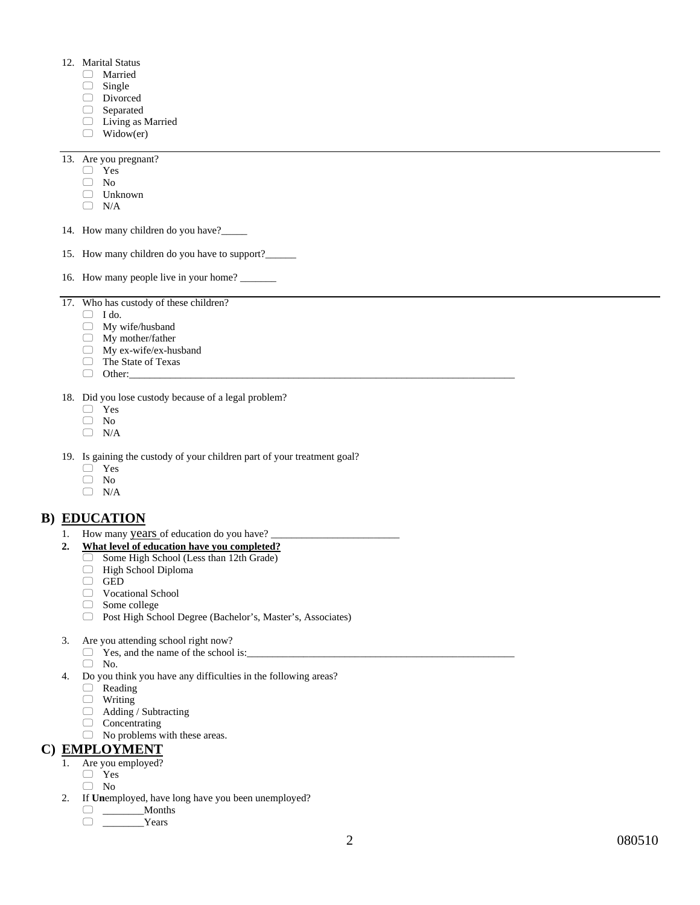- 12. Marital Status
	- Married
	- $\Box$  Single
	- Divorced
	- □ Separated
	- **Living as Married**
	- $\Box$  Widow(er)

13. Are you pregnant?

- Yes
- $\Box$  No
- Unknown
- $\Box$  N/A
- 14. How many children do you have?\_\_\_\_\_
- 15. How many children do you have to support?
- 16. How many people live in your home?

17. Who has custody of these children?

- $\Box$  I do.
- My wife/husband
- $\Box$  My mother/father
- My ex-wife/ex-husband
- The State of Texas  $\Box$  The Sta  $\Box$  Other:
- 

18. Did you lose custody because of a legal problem?

- Yes
- $\Box$  No
- $\Box$  N/A

19. Is gaining the custody of your children part of your treatment goal?

- □ Yes
- $\Box$  No
- $\Box$  N/A

## **B) EDUCATION**

- 1. How many years of education do you have? \_\_\_\_\_\_\_\_\_\_\_\_\_\_\_\_\_\_\_\_\_\_\_\_\_
- **2. What level of education have you completed?** 
	- $\Box$  Some High School (Less than 12th Grade)
	- High School Diploma
	- $\Box$  GED
	- Vocational School
	- □ Some college
	- Post High School Degree (Bachelor's, Master's, Associates)
- 3. Are you attending school right now?
	- $\Box$  Yes, and the name of the school is:
	- No.
- 4. Do you think you have any difficulties in the following areas?
	- Reading
	- $\hfill\Box$  Writing
	- $\Box$  Adding / Subtracting
	- Concentrating
	- No problems with these areas.

### **C) EMPLOYMENT**

- 1. Are you employed?
	- Yes
	- $\Box$  No
- 2. If **Un**employed, have long have you been unemployed?
	- \_\_\_\_\_\_\_\_Months
	- \_\_\_\_\_\_\_\_Years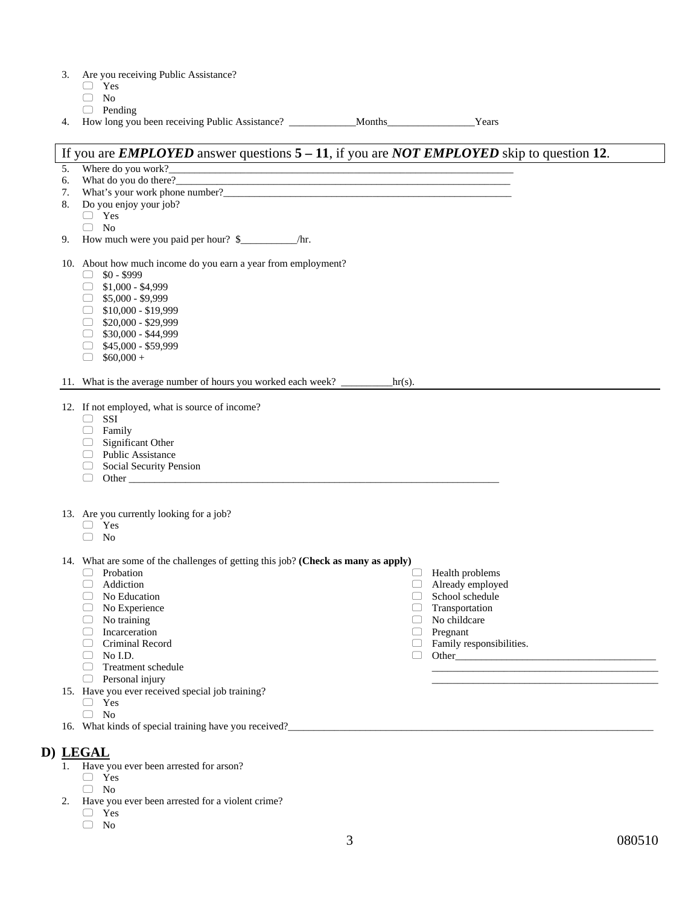| 3. |  | Are you receiving Public Assistance? |
|----|--|--------------------------------------|
|    |  |                                      |

- □ Yes
- $\hfill\Box$  No
- $\Box$  Pending
- 4. How long you been receiving Public Assistance? \_\_\_\_\_\_\_\_\_\_\_\_\_Months\_\_\_\_\_\_\_\_\_\_\_\_\_\_\_\_\_Years

### If you are *EMPLOYED* answer questions **5 – 11**, if you are *NOT EMPLOYED* skip to question **12**.

- 5. Where do you work?
- 6. What do you do there?
- 7. What's your work phone number?
- 8. Do you enjoy your job?
	- □ Yes
	- $\Box$  No
- 9. How much were you paid per hour? \$\_\_\_\_\_\_\_\_\_\_\_/hr.
- 10. About how much income do you earn a year from employment?
	- $\Box$  \$0 \$999
	- $\Box$  \$1,000 \$4,999
	- $\Box$  \$5,000 \$9,999
	- $\Box$  \$10,000 \$19,999
	- $\Box$  \$20,000 \$29,999
	- $\Box$  \$30,000 \$44,999
	- $\Box$  \$45,000 \$59,999
	- $\Box$  \$60,000 +

11. What is the average number of hours you worked each week? \_\_\_\_\_\_\_\_\_\_hr(s).

12. If not employed, what is source of income?

- $\Box$  SSI
- $\Box$  Family
- $\Box$  Significant Other
- **Public Assistance**
- Social Security Pension
- $\Box$  Other  $\Box$

13. Are you currently looking for a job?

- □ Yes
- $\Box$  No

14. What are some of the challenges of getting this job? **(Check as many as apply)**   $\Box$  Health problems

- **Probation**
- Addiction
- No Education
- No Experience
- $\hfill\Box$  <br> No training
- Incarceration
- Criminal Record
- No I.D.
- Treatment schedule
- $\Box$  Personal injury
- 15. Have you ever received special job training?
	- Yes
	- $\hfill\Box$  No
- 16. What kinds of special training have you received?

### **D) LEGAL**

- 1. Have you ever been arrested for arson?
	- Yes
	- $\Box$  No
- 2. Have you ever been arrested for a violent crime?
	- □ Yes
	- $\hfill\Box$  No

\_\_\_\_\_\_\_\_\_\_\_\_\_\_\_\_\_\_\_\_\_\_\_\_\_\_\_\_\_\_\_\_\_\_\_\_\_\_\_\_\_\_\_\_ \_\_\_\_\_\_\_\_\_\_\_\_\_\_\_\_\_\_\_\_\_\_\_\_\_\_\_\_\_\_\_\_\_\_\_\_\_\_\_\_\_\_\_\_

 $\Box$  Already employed  $\Box$  School schedule School schedule Transportation No childcare Pregnant

**Family responsibilities.** 

Other\_\_\_\_\_\_\_\_\_\_\_\_\_\_\_\_\_\_\_\_\_\_\_\_\_\_\_\_\_\_\_\_\_\_\_\_\_\_\_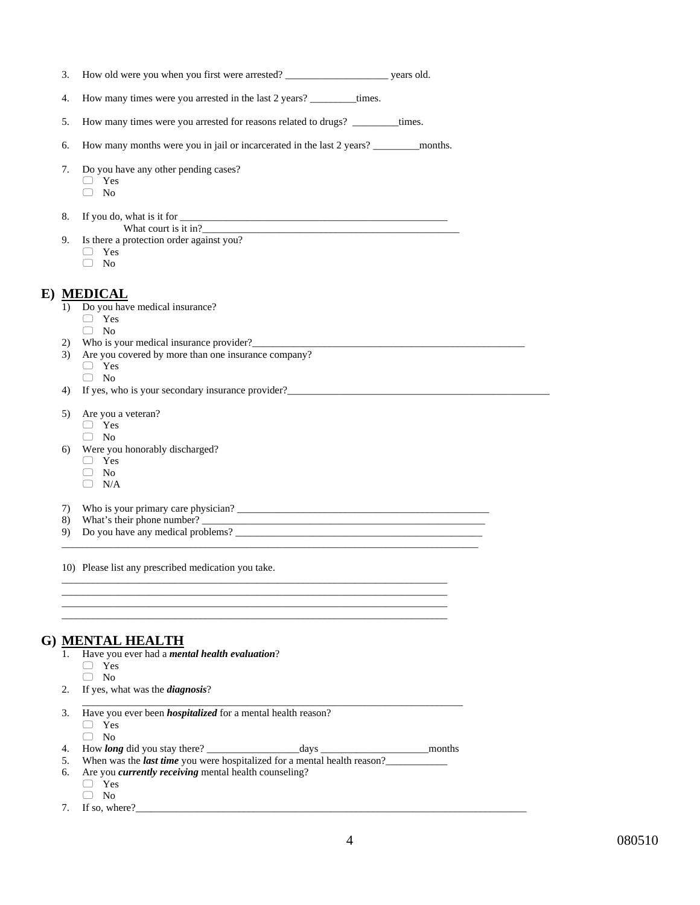| 3.  |                                                                                 |  |
|-----|---------------------------------------------------------------------------------|--|
| 4.  | How many times were you arrested in the last 2 years? __________times.          |  |
| 5.  | How many times were you arrested for reasons related to drugs? __________times. |  |
| 6.  |                                                                                 |  |
| 7.  | Do you have any other pending cases?                                            |  |
|     | $\Box$ Yes<br>N <sub>o</sub>                                                    |  |
|     |                                                                                 |  |
| 8.  |                                                                                 |  |
| 9.  | Is there a protection order against you?                                        |  |
|     | $\Box$ Yes                                                                      |  |
|     | No<br>∩                                                                         |  |
|     |                                                                                 |  |
|     | E) MEDICAL<br>1) Do you have medical insurance?                                 |  |
|     | $\Box$ Yes                                                                      |  |
|     | $\Box$ No                                                                       |  |
| 2)  |                                                                                 |  |
| 3)  | Are you covered by more than one insurance company?                             |  |
|     | $\Box$ Yes                                                                      |  |
|     | $\Box$ No                                                                       |  |
| 4)  | If yes, who is your secondary insurance provider?                               |  |
| 5)  | Are you a veteran?                                                              |  |
|     | $\Box$ Yes                                                                      |  |
|     | $\Box$ No                                                                       |  |
| 6)  | Were you honorably discharged?                                                  |  |
|     | $\Box$ Yes                                                                      |  |
|     | $\Box$ No                                                                       |  |
|     | $\Box$ N/A                                                                      |  |
| 7). | Who is your primary care physician?                                             |  |
| 8)  |                                                                                 |  |
| 9)  |                                                                                 |  |

10) Please list any prescribed medication you take.

## **G) MENTAL HEALTH**

|    | Have you ever had a <i>mental health evaluation</i> ?                           |
|----|---------------------------------------------------------------------------------|
|    | Yes                                                                             |
|    | No                                                                              |
| 2. | If yes, what was the <i>diagnosis</i> ?                                         |
|    |                                                                                 |
| 3. | Have you ever been <i>hospitalized</i> for a mental health reason?              |
|    | Yes                                                                             |
|    | N <sub>0</sub>                                                                  |
| 4. | How <i>long</i> did you stay there? days<br>months                              |
| 5. | When was the <i>last time</i> you were hospitalized for a mental health reason? |
| 6. | Are you <i>currently receiving</i> mental health counseling?                    |
|    | <b>Yes</b>                                                                      |
|    | N <sub>0</sub>                                                                  |
|    | τc<br>$\overline{\phantom{a}}$                                                  |

\_\_\_\_\_\_\_\_\_\_\_\_\_\_\_\_\_\_\_\_\_\_\_\_\_\_\_\_\_\_\_\_\_\_\_\_\_\_\_\_\_\_\_\_\_\_\_\_\_\_\_\_\_\_\_\_\_\_\_\_\_\_\_\_\_\_\_\_\_\_\_\_\_\_\_ \_\_\_\_\_\_\_\_\_\_\_\_\_\_\_\_\_\_\_\_\_\_\_\_\_\_\_\_\_\_\_\_\_\_\_\_\_\_\_\_\_\_\_\_\_\_\_\_\_\_\_\_\_\_\_\_\_\_\_\_\_\_\_\_\_\_\_\_\_\_\_\_\_\_\_

 $\overline{\phantom{a}}$  , and the contribution of the contribution of the contribution of the contribution of the contribution of the contribution of the contribution of the contribution of the contribution of the contribution of the

\_\_\_\_\_\_\_\_\_\_\_\_\_\_\_\_\_\_\_\_\_\_\_\_\_\_\_\_\_\_\_\_\_\_\_\_\_\_\_\_\_\_\_\_\_\_\_\_\_\_\_\_\_\_\_\_\_\_\_\_\_\_\_\_\_\_\_\_\_\_\_\_\_\_\_

7. If so, where?\_\_\_\_\_\_\_\_\_\_\_\_\_\_\_\_\_\_\_\_\_\_\_\_\_\_\_\_\_\_\_\_\_\_\_\_\_\_\_\_\_\_\_\_\_\_\_\_\_\_\_\_\_\_\_\_\_\_\_\_\_\_\_\_\_\_\_\_\_\_\_\_\_\_\_\_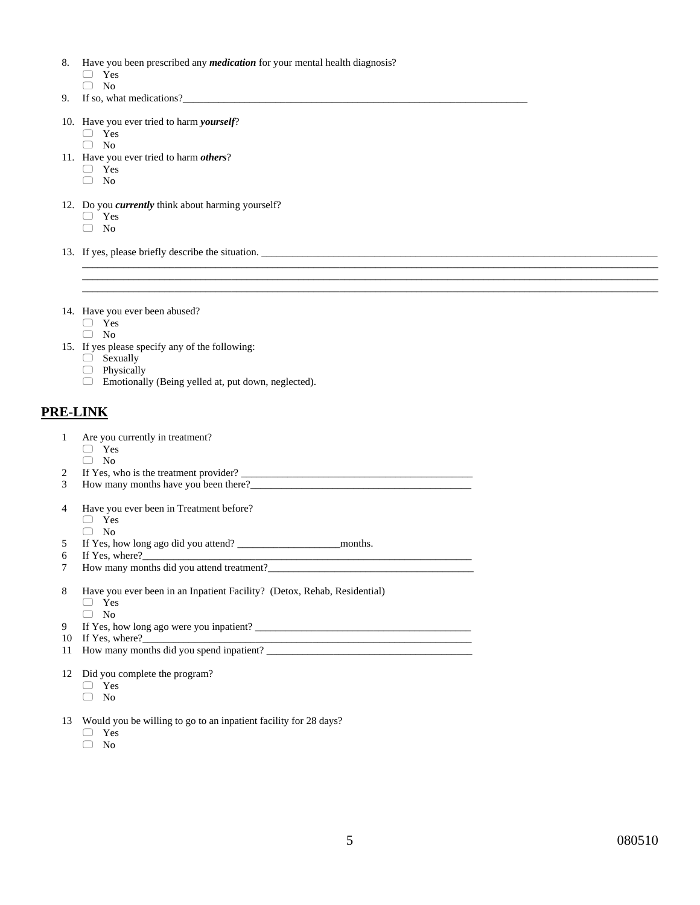- 8. Have you been prescribed any *medication* for your mental health diagnosis? Yes
	- $\hfill\Box\quad$  No
- 9. If so, what medications?
- 10. Have you ever tried to harm *yourself*?
	- Yes
	- $\Box$  No
- 11. Have you ever tried to harm *others*?
	- Yes
	- $\Box$  No
- 12. Do you *currently* think about harming yourself? Yes  $\Box$  No
- 13. If yes, please briefly describe the situation. \_\_\_\_\_\_\_\_\_\_\_\_\_\_\_\_\_\_\_\_\_\_\_\_\_\_\_\_\_\_
- 14. Have you ever been abused?
	- □ Yes
	- $\Box$  No
- 15. If yes please specify any of the following:
	- □ Sexually
	- **Physically**
	- Emotionally (Being yelled at, put down, neglected).

## **PRE-LINK**

- 4 Have you ever been in Treatment before? 1 Are you currently in treatment? Yes  $\Box$  No 2 If Yes, who is the treatment provider? 3 How many months have you been there? Yes  $\Box$  No 5 If Yes, how long ago did you attend? \_\_\_\_\_\_\_\_\_\_\_\_\_\_\_\_\_\_\_\_months. 6 If Yes, where? 7 How many months did you attend treatment? 8 Have you ever been in an Inpatient Facility? (Detox, Rehab, Residential) Yes  $\Box$  No 9 If Yes, how long ago were you inpatient? \_\_\_\_\_\_\_\_\_\_\_\_\_\_\_\_\_\_\_\_\_\_\_\_\_\_\_\_\_\_\_\_\_\_\_\_\_\_\_\_\_\_ 10 If Yes, where? 11 How many months did you spend inpatient? 12 Did you complete the program? Yes  $\Box$  No 13 Would you be willing to go to an inpatient facility for 28 days? Yes
	- $\Box$  No
	-

 $\bot$  , and the set of the set of the set of the set of the set of the set of the set of the set of the set of the set of the set of the set of the set of the set of the set of the set of the set of the set of the set of t  $\Box$  . The contribution of the contribution of the contribution of the contribution of the contribution of the contribution of the contribution of the contribution of the contribution of the contribution of the contributi  $\bot$  , and the set of the set of the set of the set of the set of the set of the set of the set of the set of the set of the set of the set of the set of the set of the set of the set of the set of the set of the set of t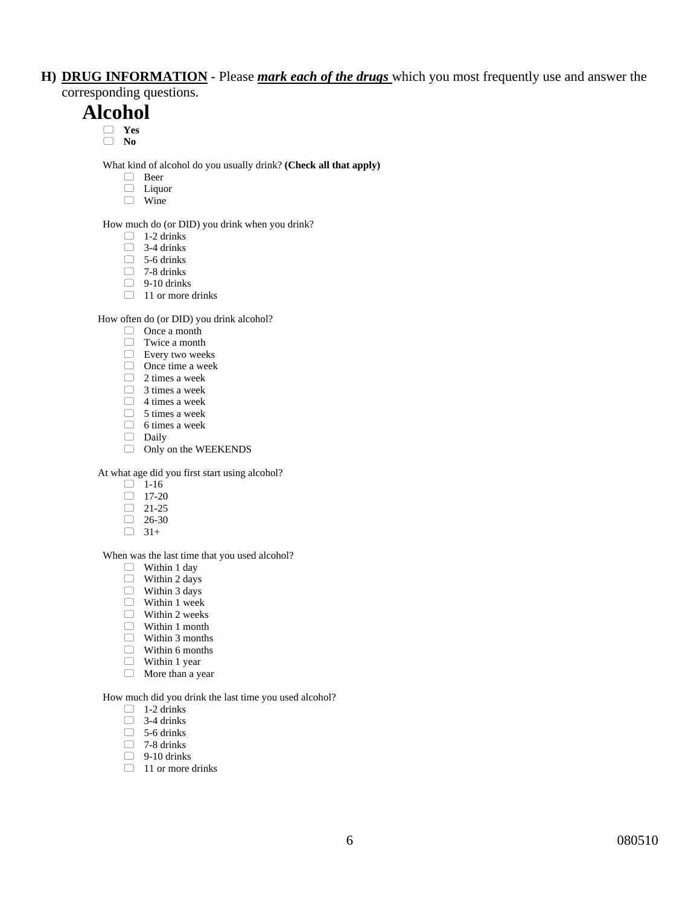## **H) DRUG INFORMATION -** Please *mark each of the drugs* which you most frequently use and answer the corresponding questions.

## **Alcohol**

- **Yes**
- **No**

What kind of alcohol do you usually drink? **(Check all that apply)** 

- □ Beer
- $\Box$  Liquor
- □ Wine

How much do (or DID) you drink when you drink?

- $\Box$  1-2 drinks
- $\Box$  3-4 drinks
- $\overline{\phantom{0}}$  5-6 drinks
- $\Box$  7-8 drinks
- $\Box$  9-10 drinks
- □ 11 or more drinks

How often do (or DID) you drink alcohol?

- Once a month
- □ Twice a month
- Every two weeks
- $\Box$  Once time a week
- $\Box$  2 times a week
- $\Box$  3 times a week
- $\Box$  4 times a week
- $\Box$  5 times a week
- $\Box$  6 times a week
- Daily
- $\Box$  Only on the WEEKENDS

At what age did you first start using alcohol?

- $\Box$  1-16
- $\Box$  17-20
- $\Box$  21-25
- $\Box$  26-30
- $\Box$  31+

#### When was the last time that you used alcohol?

- $\Box$  Within 1 day
- $\Box$  Within 2 days
- Within 3 days
- $\Box$  Within 1 week
- □ Within 2 weeks
- Within 1 month
- Within 3 months
- Within 6 months
- □ Within 1 year
- **More than a year**

How much did you drink the last time you used alcohol?

- $\Box$  1-2 drinks
- $\Box$  3-4 drinks
- $\Box$  5-6 drinks
- $\Box$  7-8 drinks
- $\Box$  9-10 drinks
- $\Box$  11 or more drinks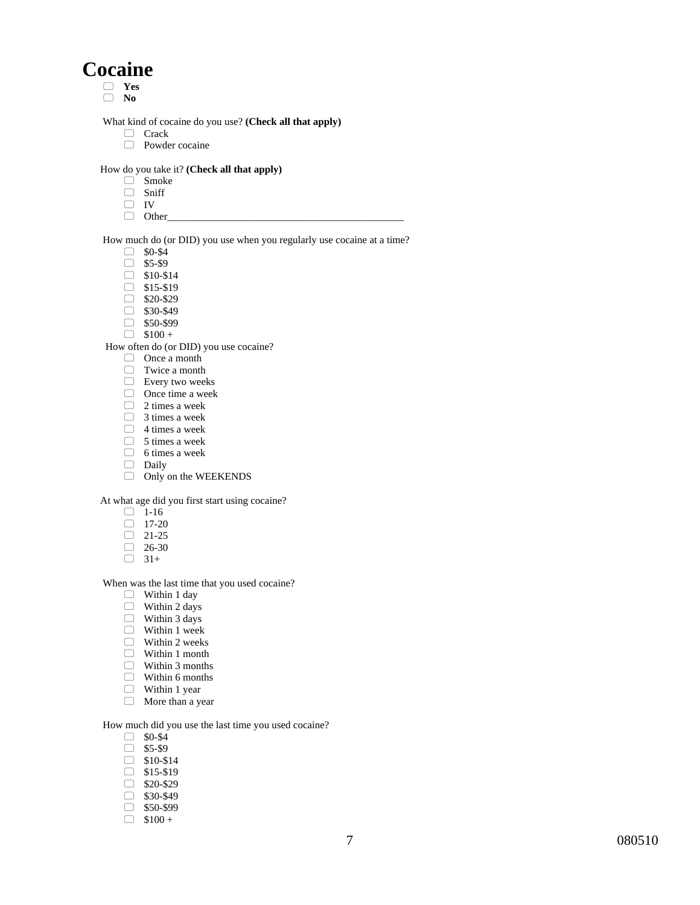# **Cocaine**

- **Yes**
- **No**

What kind of cocaine do you use? **(Check all that apply)** 

- Crack
- **Powder cocaine**

#### How do you take it? **(Check all that apply)**

- Smoke
- □ Sniff
- $\Box$  IV
- $\Box$  Other

How much do (or DID) you use when you regularly use cocaine at a time?

- $\Box$  \$0-\$4
- $\Box$  \$5-\$9
- $\Box$  \$10-\$14
- $\Box$  \$15-\$19
- $\Box$  \$20-\$29
- $\Box$  \$30-\$49
- $\Box$  \$50-\$99
- $\Box$  \$100 +

How often do (or DID) you use cocaine?

- □ Once a month
- □ Twice a month
- Every two weeks
- □ Once time a week
- $\Box$  2 times a week
- $\Box$  3 times a week
- $\Box$  4 times a week
- $\Box$  5 times a week
- $\Box$  6 times a week
- Daily
- Only on the WEEKENDS

At what age did you first start using cocaine?

- $\Box$  1-16
- $\Box$  17-20
- $\Box$  21-25
- $\Box$  26-30
- $\Box$  31+

When was the last time that you used cocaine?

- $\Box$  Within 1 day
- $\Box$  Within 2 days
- Within 3 days
- □ Within 1 week
- Within 2 weeks
- Within 1 month
- Within 3 months
- Within 6 months
- Within 1 year
- **More than a year**

How much did you use the last time you used cocaine?

- $\Box$  \$0-\$4
- $\Box$  \$5-\$9
- $\Box$  \$10-\$14
- $\Box$  \$15-\$19
- $\Box$  \$20-\$29
- $\Box$  \$30-\$49
- $\Box$  \$50-\$99
- $\Box$  \$100 +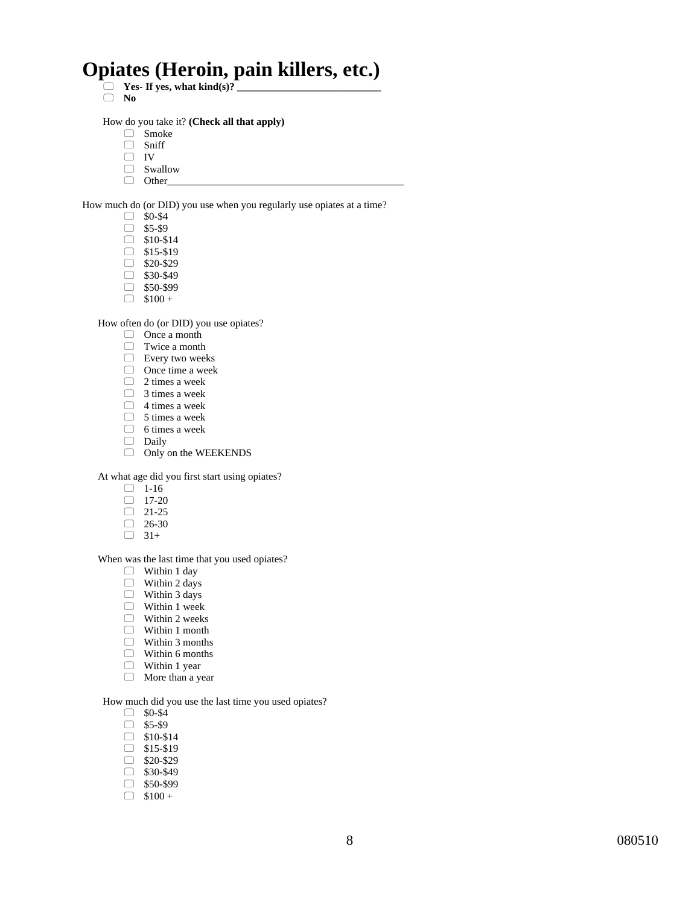# **Opiates (Heroin, pain killers, etc.)**

- $\Box$  Yes- If yes, what kind(s)?
- **No**

How do you take it? **(Check all that apply)** 

- Smoke
- □ Sniff
- $\Box$  IV
- $\Box$  Swallow
- $\Box$  Other

How much do (or DID) you use when you regularly use opiates at a time?

- $\Box$  \$0-\$4
- $\Box$  \$5-\$9
- $\Box$  \$10-\$14
- $\Box$  \$15-\$19
- $\Box$  \$20-\$29
- $\Box$  \$30-\$49
- $\Box$  \$50-\$99
- $\Box$  \$100 +

How often do (or DID) you use opiates?

- □ Once a month
- □ Twice a month
- $\qquad \qquad \Box \quad$  Every two weeks
- □ Once time a week
- $\Box$  2 times a week
- $\Box$  3 times a week
- $\Box$  4 times a week
- $\Box$  5 times a week
- $\Box$  6 times a week
- Daily
- Only on the WEEKENDS

At what age did you first start using opiates?

- $\Box$  1-16
- $\Box$  17-20
- $\Box$  21-25
- $\Box$  26-30
- $\Box$  31+

When was the last time that you used opiates?

- Within 1 day
- $\Box$  Within 2 days
- Within 3 days
- $\Box$  Within 1 week
- $\Box$  Within 2 weeks
- Within 1 month
- Within 3 months
- Within 6 months
- □ Within 1 year
- **More than a year**

How much did you use the last time you used opiates?

- $\Box$  \$0-\$4
- $\Box$  \$5-\$9
- $\Box$  \$10-\$14
- $\Box$  \$15-\$19
- $\Box$  \$20-\$29
- $\Box$  \$30-\$49
- $\Box$  \$50-\$99
- $\Box$  \$100 +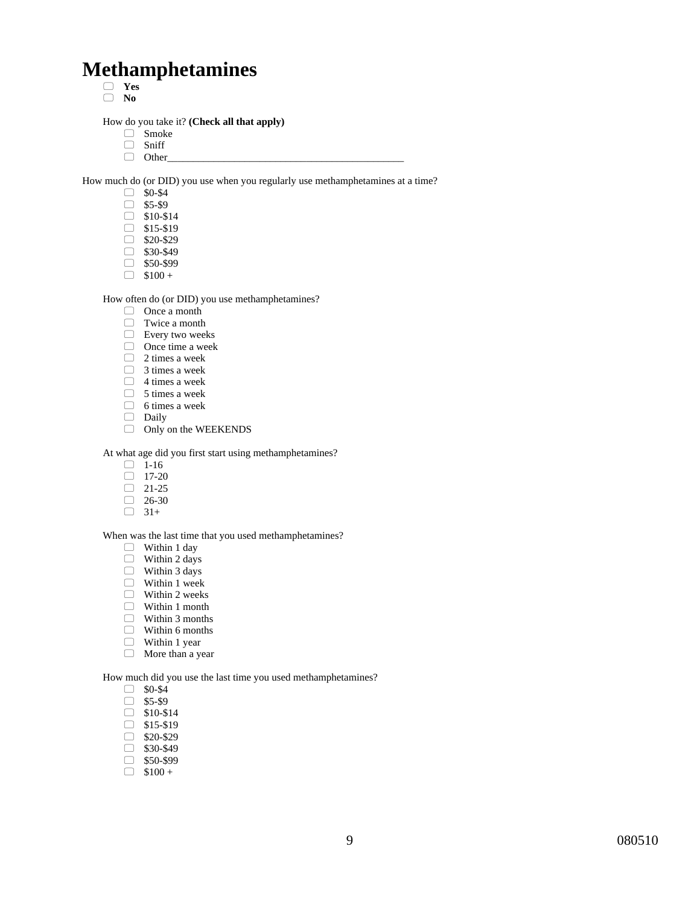# **Methamphetamines**

- **Yes**
- **No**

How do you take it? **(Check all that apply)** 

- Smoke
- □ Sniff
- $\Box$  Other

How much do (or DID) you use when you regularly use methamphetamines at a time?

- $\Box$  \$0-\$4
- $\Box$  \$5-\$9
- $\Box$  \$10-\$14  $\Box$  \$15-\$19
- $\Box$  \$20-\$29
- $\Box$  \$30-\$49
- $\Box$  \$50-\$99
- $\Box$  \$100 +

#### How often do (or DID) you use methamphetamines?

- $\Box$  Once a month
- Twice a month
- Every two weeks
- □ Once time a week
- $\Box$  2 times a week
- 3 times a week
- $\Box$  4 times a week
- $\Box$  5 times a week
- $\Box$  6 times a week
- Daily
- Only on the WEEKENDS

At what age did you first start using methamphetamines?

- $\Box$  1-16
- $\Box$  17-20
- $\Box$  21-25
- $\Box$  26-30
- $\Box$  31+

#### When was the last time that you used methamphetamines?

- Within 1 day
- $\Box$  Within 2 days
- Within 3 days
- Within 1 week
- $\Box$  Within 2 weeks
- Within 1 month
- $\Box$  Within 3 months
- Within 6 months
- □ Within 1 year
- **More than a year**

How much did you use the last time you used methamphetamines?

- $\Box$  \$0-\$4
- $\Box$  \$5-\$9
- $\Box$  \$10-\$14
- $\Box$  \$15-\$19
- $\Box$  \$20-\$29
- $\Box$  \$30-\$49
- $\Box$  \$50-\$99
- $\Box$  \$100 +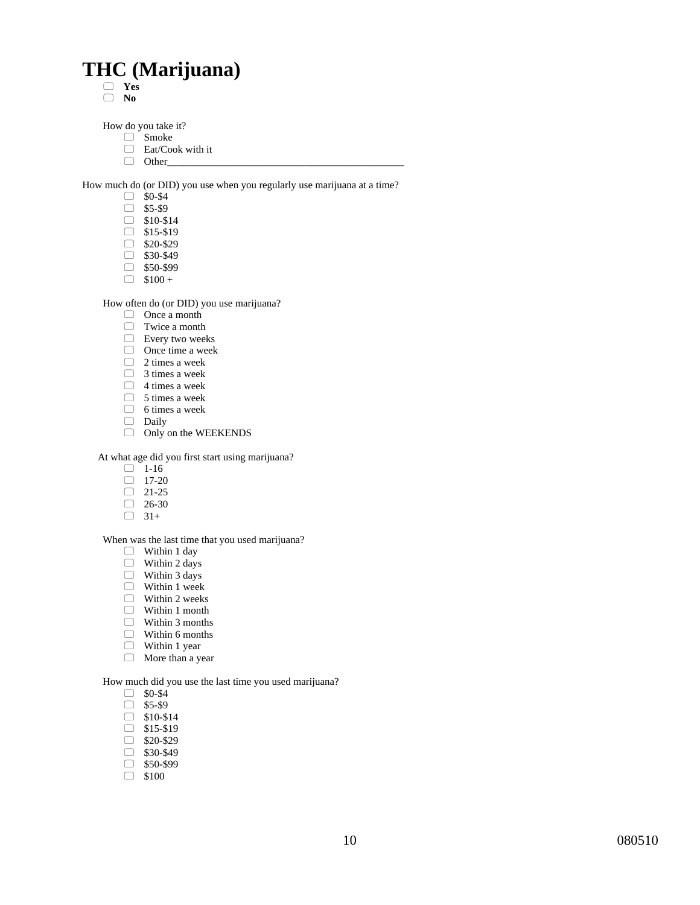# **THC (Marijuana)**

 **Yes No** 

How do you take it?

- Smoke
- □ Eat/Cook with it
- $\Box$  Other\_

How much do (or DID) you use when you regularly use marijuana at a time?

- $\Box$  \$0-\$4
- $\Box$  \$5-\$9
- $\Box$  \$10-\$14
- $\Box$  \$15-\$19
- $\Box$  \$20-\$29
- $\Box$  \$30-\$49
- $\Box$  \$50-\$99  $\Box$  \$100 +
- 

How often do (or DID) you use marijuana?

- Once a month
- Twice a month
- Every two weeks
- Once time a week
- $\Box$  2 times a week
- $\Box$  3 times a week
- $\Box$  4 times a week
- $\Box$  5 times a week
- $\Box$  6 times a week
- Daily
- Only on the WEEKENDS

At what age did you first start using marijuana?

- $\Box$  1-16
- $\Box$  17-20
- $\Box$  21-25
- $\Box$  26-30
- $\Box$  31+

When was the last time that you used marijuana?

- $\Box$  Within 1 day
- $\Box$  Within 2 days
- Within 3 days
- Within 1 week
- □ Within 2 weeks
- Within 1 month
- Within 3 months
- Within 6 months
- □ Within 1 year
- **More than a year**

How much did you use the last time you used marijuana?

- $\Box$  \$0-\$4
- $\Box$  \$5-\$9
- $\Box$  \$10-\$14
- $\Box$  \$15-\$19
- $\Box$  \$20-\$29
- $\Box$  \$30-\$49
- $\Box$  \$50-\$99
- $\Box$  \$100